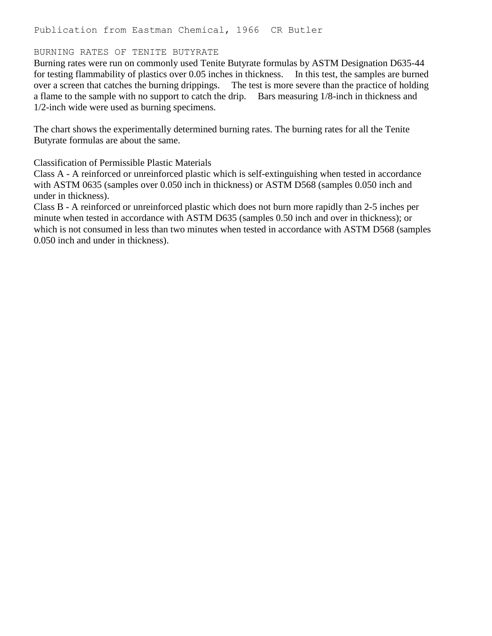## BURNING RATES OF TENITE BUTYRATE

Burning rates were run on commonly used Tenite Butyrate formulas by ASTM Designation D635-44 for testing flammability of plastics over 0.05 inches in thickness. In this test, the samples are burned over a screen that catches the burning drippings. The test is more severe than the practice of holding a flame to the sample with no support to catch the drip. Bars measuring 1/8-inch in thickness and 1/2-inch wide were used as burning specimens.

The chart shows the experimentally determined burning rates. The burning rates for all the Tenite Butyrate formulas are about the same.

Classification of Permissible Plastic Materials

Class A - A reinforced or unreinforced plastic which is self-extinguishing when tested in accordance with ASTM 0635 (samples over 0.050 inch in thickness) or ASTM D568 (samples 0.050 inch and under in thickness).

Class B - A reinforced or unreinforced plastic which does not burn more rapidly than 2-5 inches per minute when tested in accordance with ASTM D635 (samples 0.50 inch and over in thickness); or which is not consumed in less than two minutes when tested in accordance with ASTM D568 (samples 0.050 inch and under in thickness).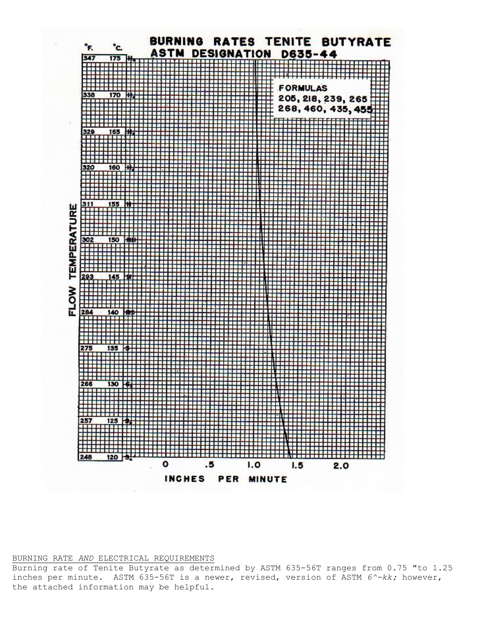

## BURNING RATE *AND* ELECTRICAL REQUIREMENTS

Burning rate of Tenite Butyrate as determined by ASTM 635-56T ranges from 0.75 "to 1.25 inches per minute. ASTM 635-56T is a newer, revised, version of ASTM *6^-kk;* however, the attached information may be helpful.